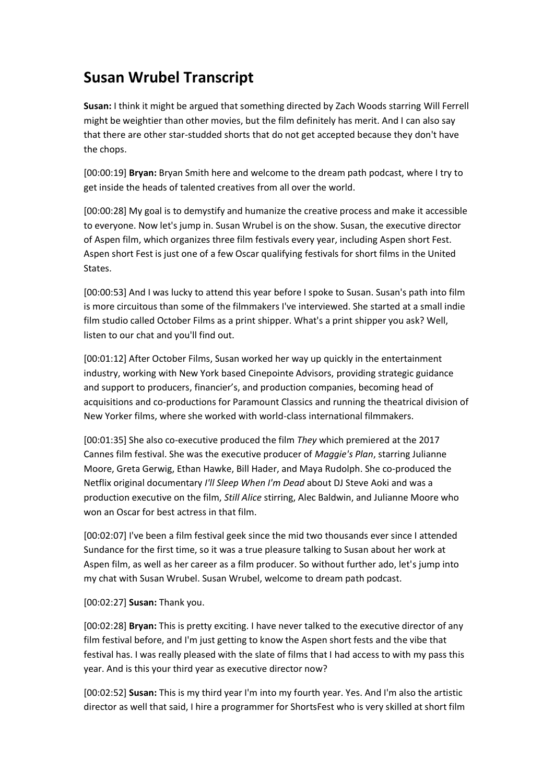# **Susan Wrubel Transcript**

**Susan:** I think it might be argued that something directed by Zach Woods starring Will Ferrell might be weightier than other movies, but the film definitely has merit. And I can also say that there are other star-studded shorts that do not get accepted because they don't have the chops.

[00:00:19] **Bryan:** Bryan Smith here and welcome to the dream path podcast, where I try to get inside the heads of talented creatives from all over the world.

[00:00:28] My goal is to demystify and humanize the creative process and make it accessible to everyone. Now let's jump in. Susan Wrubel is on the show. Susan, the executive director of Aspen film, which organizes three film festivals every year, including Aspen short Fest. Aspen short Fest is just one of a few Oscar qualifying festivals for short films in the United States.

[00:00:53] And I was lucky to attend this year before I spoke to Susan. Susan's path into film is more circuitous than some of the filmmakers I've interviewed. She started at a small indie film studio called October Films as a print shipper. What's a print shipper you ask? Well, listen to our chat and you'll find out.

[00:01:12] After October Films, Susan worked her way up quickly in the entertainment industry, working with New York based Cinepointe Advisors, providing strategic guidance and support to producers, financier's, and production companies, becoming head of acquisitions and co-productions for Paramount Classics and running the theatrical division of New Yorker films, where she worked with world-class international filmmakers.

[00:01:35] She also co-executive produced the film *They* which premiered at the 2017 Cannes film festival. She was the executive producer of *Maggie's Plan*, starring Julianne Moore, Greta Gerwig, Ethan Hawke, Bill Hader, and Maya Rudolph. She co-produced the Netflix original documentary *I'll Sleep When I'm Dead* about DJ Steve Aoki and was a production executive on the film, *Still Alice* stirring, Alec Baldwin, and Julianne Moore who won an Oscar for best actress in that film.

[00:02:07] I've been a film festival geek since the mid two thousands ever since I attended Sundance for the first time, so it was a true pleasure talking to Susan about her work at Aspen film, as well as her career as a film producer. So without further ado, let's jump into my chat with Susan Wrubel. Susan Wrubel, welcome to dream path podcast.

[00:02:27] **Susan:** Thank you.

[00:02:28] **Bryan:** This is pretty exciting. I have never talked to the executive director of any film festival before, and I'm just getting to know the Aspen short fests and the vibe that festival has. I was really pleased with the slate of films that I had access to with my pass this year. And is this your third year as executive director now?

[00:02:52] **Susan:** This is my third year I'm into my fourth year. Yes. And I'm also the artistic director as well that said, I hire a programmer for ShortsFest who is very skilled at short film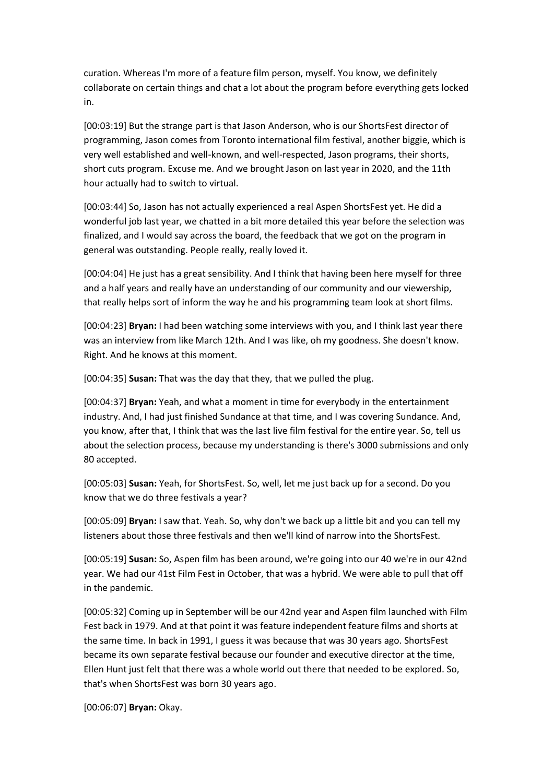curation. Whereas I'm more of a feature film person, myself. You know, we definitely collaborate on certain things and chat a lot about the program before everything gets locked in.

[00:03:19] But the strange part is that Jason Anderson, who is our ShortsFest director of programming, Jason comes from Toronto international film festival, another biggie, which is very well established and well-known, and well-respected, Jason programs, their shorts, short cuts program. Excuse me. And we brought Jason on last year in 2020, and the 11th hour actually had to switch to virtual.

[00:03:44] So, Jason has not actually experienced a real Aspen ShortsFest yet. He did a wonderful job last year, we chatted in a bit more detailed this year before the selection was finalized, and I would say across the board, the feedback that we got on the program in general was outstanding. People really, really loved it.

[00:04:04] He just has a great sensibility. And I think that having been here myself for three and a half years and really have an understanding of our community and our viewership, that really helps sort of inform the way he and his programming team look at short films.

[00:04:23] **Bryan:** I had been watching some interviews with you, and I think last year there was an interview from like March 12th. And I was like, oh my goodness. She doesn't know. Right. And he knows at this moment.

[00:04:35] **Susan:** That was the day that they, that we pulled the plug.

[00:04:37] **Bryan:** Yeah, and what a moment in time for everybody in the entertainment industry. And, I had just finished Sundance at that time, and I was covering Sundance. And, you know, after that, I think that was the last live film festival for the entire year. So, tell us about the selection process, because my understanding is there's 3000 submissions and only 80 accepted.

[00:05:03] **Susan:** Yeah, for ShortsFest. So, well, let me just back up for a second. Do you know that we do three festivals a year?

[00:05:09] **Bryan:** I saw that. Yeah. So, why don't we back up a little bit and you can tell my listeners about those three festivals and then we'll kind of narrow into the ShortsFest.

[00:05:19] **Susan:** So, Aspen film has been around, we're going into our 40 we're in our 42nd year. We had our 41st Film Fest in October, that was a hybrid. We were able to pull that off in the pandemic.

[00:05:32] Coming up in September will be our 42nd year and Aspen film launched with Film Fest back in 1979. And at that point it was feature independent feature films and shorts at the same time. In back in 1991, I guess it was because that was 30 years ago. ShortsFest became its own separate festival because our founder and executive director at the time, Ellen Hunt just felt that there was a whole world out there that needed to be explored. So, that's when ShortsFest was born 30 years ago.

[00:06:07] **Bryan:** Okay.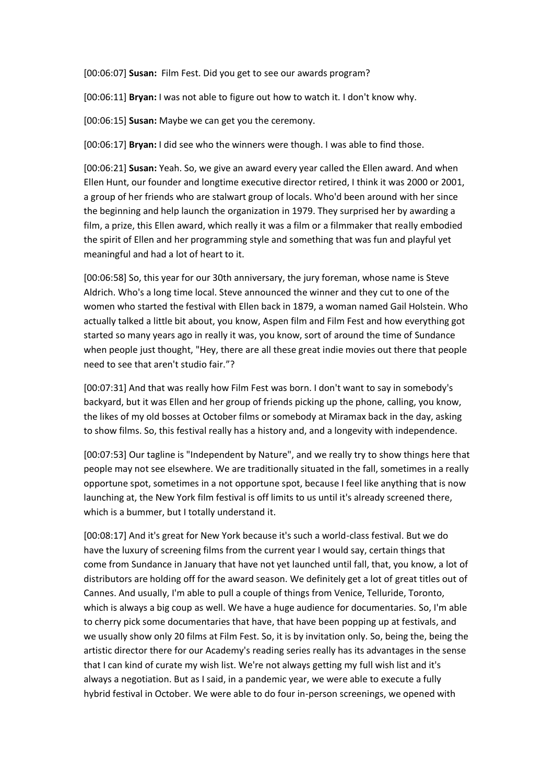[00:06:07] **Susan:** Film Fest. Did you get to see our awards program?

[00:06:11] **Bryan:** I was not able to figure out how to watch it. I don't know why.

[00:06:15] **Susan:** Maybe we can get you the ceremony.

[00:06:17] **Bryan:** I did see who the winners were though. I was able to find those.

[00:06:21] **Susan:** Yeah. So, we give an award every year called the Ellen award. And when Ellen Hunt, our founder and longtime executive director retired, I think it was 2000 or 2001, a group of her friends who are stalwart group of locals. Who'd been around with her since the beginning and help launch the organization in 1979. They surprised her by awarding a film, a prize, this Ellen award, which really it was a film or a filmmaker that really embodied the spirit of Ellen and her programming style and something that was fun and playful yet meaningful and had a lot of heart to it.

[00:06:58] So, this year for our 30th anniversary, the jury foreman, whose name is Steve Aldrich. Who's a long time local. Steve announced the winner and they cut to one of the women who started the festival with Ellen back in 1879, a woman named Gail Holstein. Who actually talked a little bit about, you know, Aspen film and Film Fest and how everything got started so many years ago in really it was, you know, sort of around the time of Sundance when people just thought, "Hey, there are all these great indie movies out there that people need to see that aren't studio fair."?

[00:07:31] And that was really how Film Fest was born. I don't want to say in somebody's backyard, but it was Ellen and her group of friends picking up the phone, calling, you know, the likes of my old bosses at October films or somebody at Miramax back in the day, asking to show films. So, this festival really has a history and, and a longevity with independence.

[00:07:53] Our tagline is "Independent by Nature", and we really try to show things here that people may not see elsewhere. We are traditionally situated in the fall, sometimes in a really opportune spot, sometimes in a not opportune spot, because I feel like anything that is now launching at, the New York film festival is off limits to us until it's already screened there, which is a bummer, but I totally understand it.

[00:08:17] And it's great for New York because it's such a world-class festival. But we do have the luxury of screening films from the current year I would say, certain things that come from Sundance in January that have not yet launched until fall, that, you know, a lot of distributors are holding off for the award season. We definitely get a lot of great titles out of Cannes. And usually, I'm able to pull a couple of things from Venice, Telluride, Toronto, which is always a big coup as well. We have a huge audience for documentaries. So, I'm able to cherry pick some documentaries that have, that have been popping up at festivals, and we usually show only 20 films at Film Fest. So, it is by invitation only. So, being the, being the artistic director there for our Academy's reading series really has its advantages in the sense that I can kind of curate my wish list. We're not always getting my full wish list and it's always a negotiation. But as I said, in a pandemic year, we were able to execute a fully hybrid festival in October. We were able to do four in-person screenings, we opened with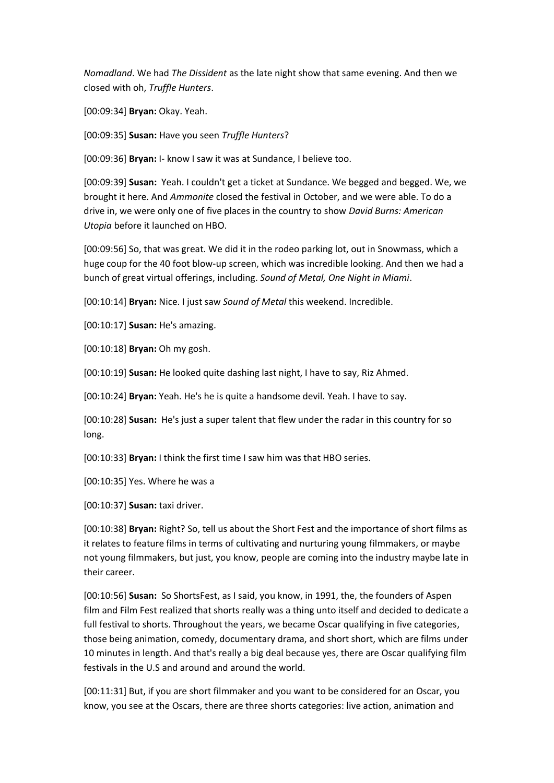*Nomadland*. We had *The Dissident* as the late night show that same evening. And then we closed with oh, *Truffle Hunters*.

[00:09:34] **Bryan:** Okay. Yeah.

[00:09:35] **Susan:** Have you seen *Truffle Hunters*?

[00:09:36] **Bryan:** I- know I saw it was at Sundance, I believe too.

[00:09:39] **Susan:** Yeah. I couldn't get a ticket at Sundance. We begged and begged. We, we brought it here. And *Ammonite* closed the festival in October, and we were able. To do a drive in, we were only one of five places in the country to show *David Burns: American Utopia* before it launched on HBO.

[00:09:56] So, that was great. We did it in the rodeo parking lot, out in Snowmass, which a huge coup for the 40 foot blow-up screen, which was incredible looking. And then we had a bunch of great virtual offerings, including. *Sound of Metal, One Night in Miami*.

[00:10:14] **Bryan:** Nice. I just saw *Sound of Metal* this weekend. Incredible.

[00:10:17] **Susan:** He's amazing.

[00:10:18] **Bryan:** Oh my gosh.

[00:10:19] **Susan:** He looked quite dashing last night, I have to say, Riz Ahmed.

[00:10:24] **Bryan:** Yeah. He's he is quite a handsome devil. Yeah. I have to say.

[00:10:28] **Susan:** He's just a super talent that flew under the radar in this country for so long.

[00:10:33] **Bryan:** I think the first time I saw him was that HBO series.

[00:10:35] Yes. Where he was a

[00:10:37] **Susan:** taxi driver.

[00:10:38] **Bryan:** Right? So, tell us about the Short Fest and the importance of short films as it relates to feature films in terms of cultivating and nurturing young filmmakers, or maybe not young filmmakers, but just, you know, people are coming into the industry maybe late in their career.

[00:10:56] **Susan:** So ShortsFest, as I said, you know, in 1991, the, the founders of Aspen film and Film Fest realized that shorts really was a thing unto itself and decided to dedicate a full festival to shorts. Throughout the years, we became Oscar qualifying in five categories, those being animation, comedy, documentary drama, and short short, which are films under 10 minutes in length. And that's really a big deal because yes, there are Oscar qualifying film festivals in the U.S and around and around the world.

[00:11:31] But, if you are short filmmaker and you want to be considered for an Oscar, you know, you see at the Oscars, there are three shorts categories: live action, animation and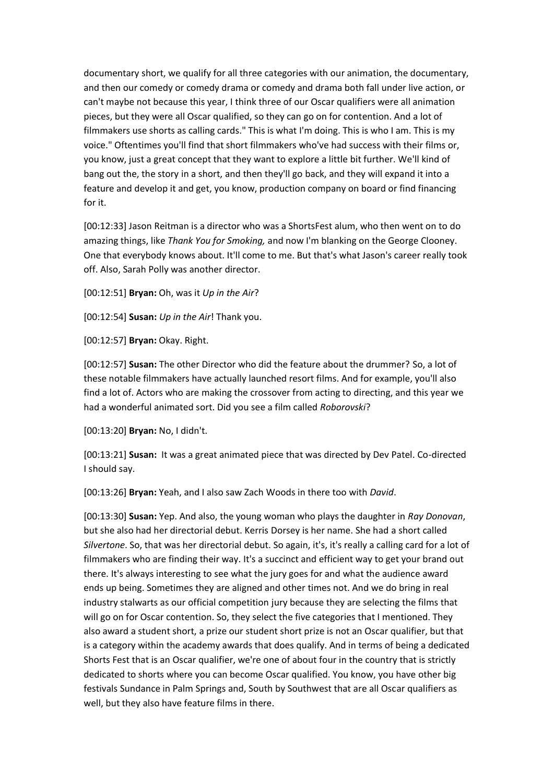documentary short, we qualify for all three categories with our animation, the documentary, and then our comedy or comedy drama or comedy and drama both fall under live action, or can't maybe not because this year, I think three of our Oscar qualifiers were all animation pieces, but they were all Oscar qualified, so they can go on for contention. And a lot of filmmakers use shorts as calling cards." This is what I'm doing. This is who I am. This is my voice." Oftentimes you'll find that short filmmakers who've had success with their films or, you know, just a great concept that they want to explore a little bit further. We'll kind of bang out the, the story in a short, and then they'll go back, and they will expand it into a feature and develop it and get, you know, production company on board or find financing for it.

[00:12:33] Jason Reitman is a director who was a ShortsFest alum, who then went on to do amazing things, like *Thank You for Smoking,* and now I'm blanking on the George Clooney. One that everybody knows about. It'll come to me. But that's what Jason's career really took off. Also, Sarah Polly was another director.

[00:12:51] **Bryan:** Oh, was it *Up in the Air*?

[00:12:54] **Susan:** *Up in the Air*! Thank you.

[00:12:57] **Bryan:** Okay. Right.

[00:12:57] **Susan:** The other Director who did the feature about the drummer? So, a lot of these notable filmmakers have actually launched resort films. And for example, you'll also find a lot of. Actors who are making the crossover from acting to directing, and this year we had a wonderful animated sort. Did you see a film called *Roborovski*?

[00:13:20] **Bryan:** No, I didn't.

[00:13:21] **Susan:** It was a great animated piece that was directed by Dev Patel. Co-directed I should say.

[00:13:26] **Bryan:** Yeah, and I also saw Zach Woods in there too with *David*.

[00:13:30] **Susan:** Yep. And also, the young woman who plays the daughter in *Ray Donovan*, but she also had her directorial debut. Kerris Dorsey is her name. She had a short called *Silvertone*. So, that was her directorial debut. So again, it's, it's really a calling card for a lot of filmmakers who are finding their way. It's a succinct and efficient way to get your brand out there. It's always interesting to see what the jury goes for and what the audience award ends up being. Sometimes they are aligned and other times not. And we do bring in real industry stalwarts as our official competition jury because they are selecting the films that will go on for Oscar contention. So, they select the five categories that I mentioned. They also award a student short, a prize our student short prize is not an Oscar qualifier, but that is a category within the academy awards that does qualify. And in terms of being a dedicated Shorts Fest that is an Oscar qualifier, we're one of about four in the country that is strictly dedicated to shorts where you can become Oscar qualified. You know, you have other big festivals Sundance in Palm Springs and, South by Southwest that are all Oscar qualifiers as well, but they also have feature films in there.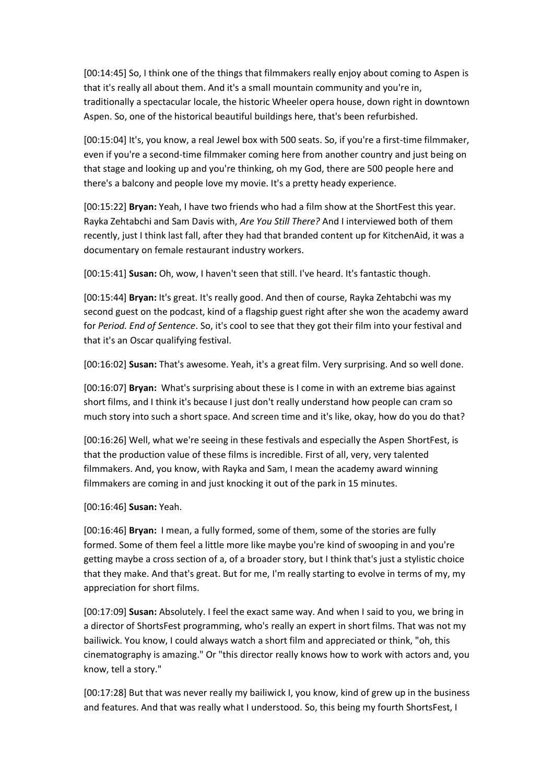[00:14:45] So, I think one of the things that filmmakers really enjoy about coming to Aspen is that it's really all about them. And it's a small mountain community and you're in, traditionally a spectacular locale, the historic Wheeler opera house, down right in downtown Aspen. So, one of the historical beautiful buildings here, that's been refurbished.

[00:15:04] It's, you know, a real Jewel box with 500 seats. So, if you're a first-time filmmaker, even if you're a second-time filmmaker coming here from another country and just being on that stage and looking up and you're thinking, oh my God, there are 500 people here and there's a balcony and people love my movie. It's a pretty heady experience.

[00:15:22] **Bryan:** Yeah, I have two friends who had a film show at the ShortFest this year. Rayka Zehtabchi and Sam Davis with, *Are You Still There?* And I interviewed both of them recently, just I think last fall, after they had that branded content up for KitchenAid, it was a documentary on female restaurant industry workers.

[00:15:41] **Susan:** Oh, wow, I haven't seen that still. I've heard. It's fantastic though.

[00:15:44] **Bryan:** It's great. It's really good. And then of course, Rayka Zehtabchi was my second guest on the podcast, kind of a flagship guest right after she won the academy award for *Period. End of Sentence*. So, it's cool to see that they got their film into your festival and that it's an Oscar qualifying festival.

[00:16:02] **Susan:** That's awesome. Yeah, it's a great film. Very surprising. And so well done.

[00:16:07] **Bryan:** What's surprising about these is I come in with an extreme bias against short films, and I think it's because I just don't really understand how people can cram so much story into such a short space. And screen time and it's like, okay, how do you do that?

[00:16:26] Well, what we're seeing in these festivals and especially the Aspen ShortFest, is that the production value of these films is incredible. First of all, very, very talented filmmakers. And, you know, with Rayka and Sam, I mean the academy award winning filmmakers are coming in and just knocking it out of the park in 15 minutes.

[00:16:46] **Susan:** Yeah.

[00:16:46] **Bryan:** I mean, a fully formed, some of them, some of the stories are fully formed. Some of them feel a little more like maybe you're kind of swooping in and you're getting maybe a cross section of a, of a broader story, but I think that's just a stylistic choice that they make. And that's great. But for me, I'm really starting to evolve in terms of my, my appreciation for short films.

[00:17:09] **Susan:** Absolutely. I feel the exact same way. And when I said to you, we bring in a director of ShortsFest programming, who's really an expert in short films. That was not my bailiwick. You know, I could always watch a short film and appreciated or think, "oh, this cinematography is amazing." Or "this director really knows how to work with actors and, you know, tell a story."

[00:17:28] But that was never really my bailiwick I, you know, kind of grew up in the business and features. And that was really what I understood. So, this being my fourth ShortsFest, I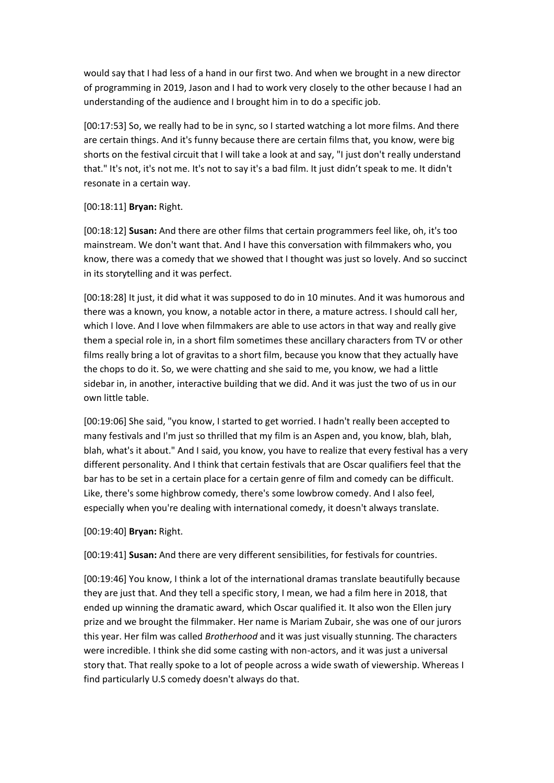would say that I had less of a hand in our first two. And when we brought in a new director of programming in 2019, Jason and I had to work very closely to the other because I had an understanding of the audience and I brought him in to do a specific job.

[00:17:53] So, we really had to be in sync, so I started watching a lot more films. And there are certain things. And it's funny because there are certain films that, you know, were big shorts on the festival circuit that I will take a look at and say, "I just don't really understand that." It's not, it's not me. It's not to say it's a bad film. It just didn't speak to me. It didn't resonate in a certain way.

## [00:18:11] **Bryan:** Right.

[00:18:12] **Susan:** And there are other films that certain programmers feel like, oh, it's too mainstream. We don't want that. And I have this conversation with filmmakers who, you know, there was a comedy that we showed that I thought was just so lovely. And so succinct in its storytelling and it was perfect.

[00:18:28] It just, it did what it was supposed to do in 10 minutes. And it was humorous and there was a known, you know, a notable actor in there, a mature actress. I should call her, which I love. And I love when filmmakers are able to use actors in that way and really give them a special role in, in a short film sometimes these ancillary characters from TV or other films really bring a lot of gravitas to a short film, because you know that they actually have the chops to do it. So, we were chatting and she said to me, you know, we had a little sidebar in, in another, interactive building that we did. And it was just the two of us in our own little table.

[00:19:06] She said, "you know, I started to get worried. I hadn't really been accepted to many festivals and I'm just so thrilled that my film is an Aspen and, you know, blah, blah, blah, what's it about." And I said, you know, you have to realize that every festival has a very different personality. And I think that certain festivals that are Oscar qualifiers feel that the bar has to be set in a certain place for a certain genre of film and comedy can be difficult. Like, there's some highbrow comedy, there's some lowbrow comedy. And I also feel, especially when you're dealing with international comedy, it doesn't always translate.

[00:19:40] **Bryan:** Right.

[00:19:41] **Susan:** And there are very different sensibilities, for festivals for countries.

[00:19:46] You know, I think a lot of the international dramas translate beautifully because they are just that. And they tell a specific story, I mean, we had a film here in 2018, that ended up winning the dramatic award, which Oscar qualified it. It also won the Ellen jury prize and we brought the filmmaker. Her name is Mariam Zubair, she was one of our jurors this year. Her film was called *Brotherhood* and it was just visually stunning. The characters were incredible. I think she did some casting with non-actors, and it was just a universal story that. That really spoke to a lot of people across a wide swath of viewership. Whereas I find particularly U.S comedy doesn't always do that.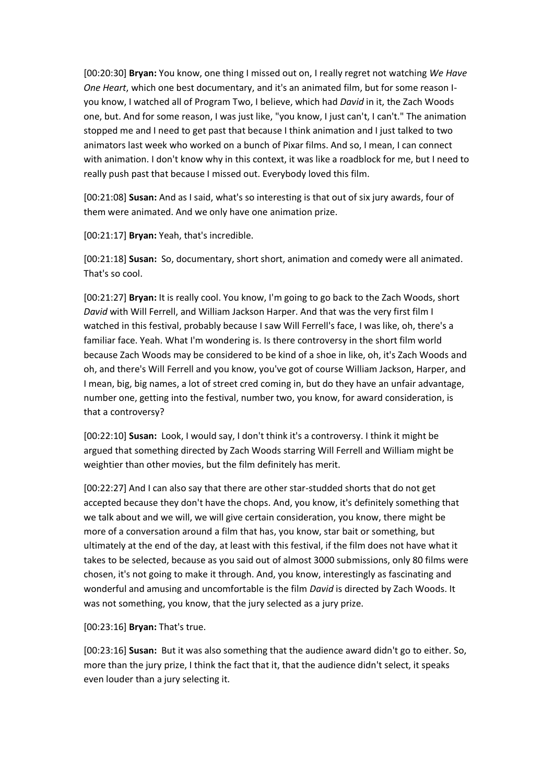[00:20:30] **Bryan:** You know, one thing I missed out on, I really regret not watching *We Have One Heart*, which one best documentary, and it's an animated film, but for some reason Iyou know, I watched all of Program Two, I believe, which had *David* in it, the Zach Woods one, but. And for some reason, I was just like, "you know, I just can't, I can't." The animation stopped me and I need to get past that because I think animation and I just talked to two animators last week who worked on a bunch of Pixar films. And so, I mean, I can connect with animation. I don't know why in this context, it was like a roadblock for me, but I need to really push past that because I missed out. Everybody loved this film.

[00:21:08] **Susan:** And as I said, what's so interesting is that out of six jury awards, four of them were animated. And we only have one animation prize.

[00:21:17] **Bryan:** Yeah, that's incredible.

[00:21:18] **Susan:** So, documentary, short short, animation and comedy were all animated. That's so cool.

[00:21:27] **Bryan:** It is really cool. You know, I'm going to go back to the Zach Woods, short *David* with Will Ferrell, and William Jackson Harper. And that was the very first film I watched in this festival, probably because I saw Will Ferrell's face, I was like, oh, there's a familiar face. Yeah. What I'm wondering is. Is there controversy in the short film world because Zach Woods may be considered to be kind of a shoe in like, oh, it's Zach Woods and oh, and there's Will Ferrell and you know, you've got of course William Jackson, Harper, and I mean, big, big names, a lot of street cred coming in, but do they have an unfair advantage, number one, getting into the festival, number two, you know, for award consideration, is that a controversy?

[00:22:10] **Susan:** Look, I would say, I don't think it's a controversy. I think it might be argued that something directed by Zach Woods starring Will Ferrell and William might be weightier than other movies, but the film definitely has merit.

[00:22:27] And I can also say that there are other star-studded shorts that do not get accepted because they don't have the chops. And, you know, it's definitely something that we talk about and we will, we will give certain consideration, you know, there might be more of a conversation around a film that has, you know, star bait or something, but ultimately at the end of the day, at least with this festival, if the film does not have what it takes to be selected, because as you said out of almost 3000 submissions, only 80 films were chosen, it's not going to make it through. And, you know, interestingly as fascinating and wonderful and amusing and uncomfortable is the film *David* is directed by Zach Woods. It was not something, you know, that the jury selected as a jury prize.

[00:23:16] **Bryan:** That's true.

[00:23:16] **Susan:** But it was also something that the audience award didn't go to either. So, more than the jury prize, I think the fact that it, that the audience didn't select, it speaks even louder than a jury selecting it.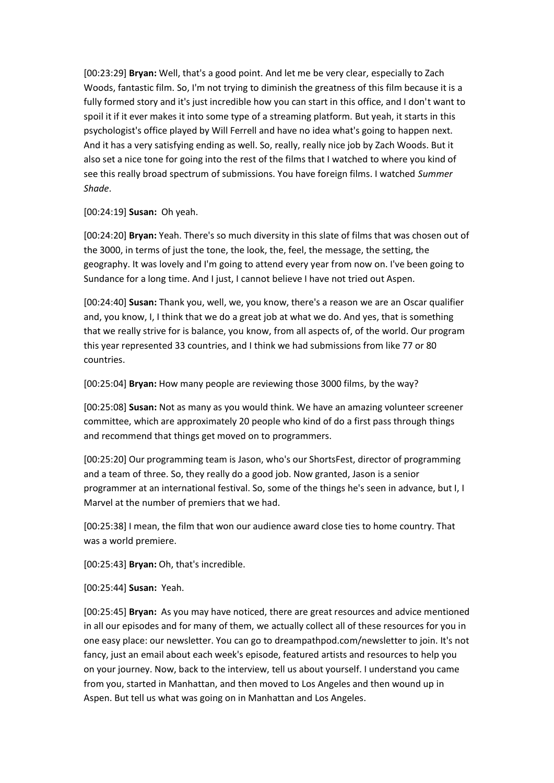[00:23:29] **Bryan:** Well, that's a good point. And let me be very clear, especially to Zach Woods, fantastic film. So, I'm not trying to diminish the greatness of this film because it is a fully formed story and it's just incredible how you can start in this office, and I don't want to spoil it if it ever makes it into some type of a streaming platform. But yeah, it starts in this psychologist's office played by Will Ferrell and have no idea what's going to happen next. And it has a very satisfying ending as well. So, really, really nice job by Zach Woods. But it also set a nice tone for going into the rest of the films that I watched to where you kind of see this really broad spectrum of submissions. You have foreign films. I watched *Summer Shade*.

[00:24:19] **Susan:** Oh yeah.

[00:24:20] **Bryan:** Yeah. There's so much diversity in this slate of films that was chosen out of the 3000, in terms of just the tone, the look, the, feel, the message, the setting, the geography. It was lovely and I'm going to attend every year from now on. I've been going to Sundance for a long time. And I just, I cannot believe I have not tried out Aspen.

[00:24:40] **Susan:** Thank you, well, we, you know, there's a reason we are an Oscar qualifier and, you know, I, I think that we do a great job at what we do. And yes, that is something that we really strive for is balance, you know, from all aspects of, of the world. Our program this year represented 33 countries, and I think we had submissions from like 77 or 80 countries.

[00:25:04] **Bryan:** How many people are reviewing those 3000 films, by the way?

[00:25:08] **Susan:** Not as many as you would think. We have an amazing volunteer screener committee, which are approximately 20 people who kind of do a first pass through things and recommend that things get moved on to programmers.

[00:25:20] Our programming team is Jason, who's our ShortsFest, director of programming and a team of three. So, they really do a good job. Now granted, Jason is a senior programmer at an international festival. So, some of the things he's seen in advance, but I, I Marvel at the number of premiers that we had.

[00:25:38] I mean, the film that won our audience award close ties to home country. That was a world premiere.

[00:25:43] **Bryan:** Oh, that's incredible.

[00:25:44] **Susan:** Yeah.

[00:25:45] **Bryan:** As you may have noticed, there are great resources and advice mentioned in all our episodes and for many of them, we actually collect all of these resources for you in one easy place: our newsletter. You can go to dreampathpod.com/newsletter to join. It's not fancy, just an email about each week's episode, featured artists and resources to help you on your journey. Now, back to the interview, tell us about yourself. I understand you came from you, started in Manhattan, and then moved to Los Angeles and then wound up in Aspen. But tell us what was going on in Manhattan and Los Angeles.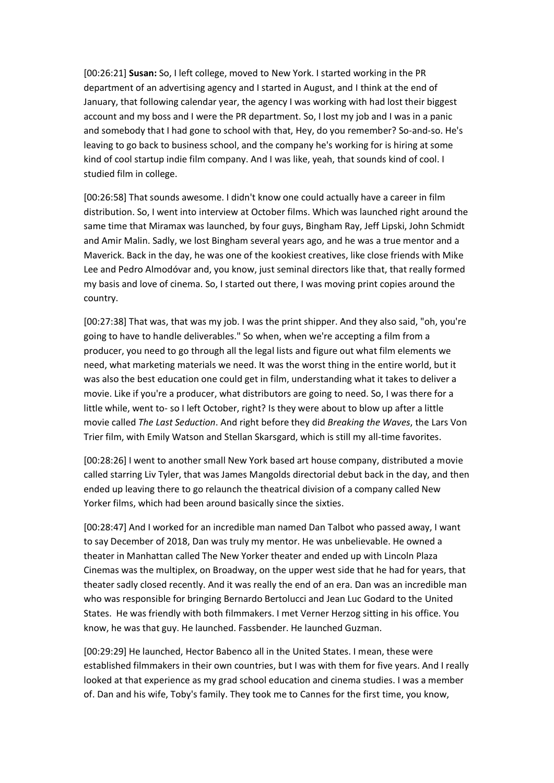[00:26:21] **Susan:** So, I left college, moved to New York. I started working in the PR department of an advertising agency and I started in August, and I think at the end of January, that following calendar year, the agency I was working with had lost their biggest account and my boss and I were the PR department. So, I lost my job and I was in a panic and somebody that I had gone to school with that, Hey, do you remember? So-and-so. He's leaving to go back to business school, and the company he's working for is hiring at some kind of cool startup indie film company. And I was like, yeah, that sounds kind of cool. I studied film in college.

[00:26:58] That sounds awesome. I didn't know one could actually have a career in film distribution. So, I went into interview at October films. Which was launched right around the same time that Miramax was launched, by four guys, Bingham Ray, Jeff Lipski, John Schmidt and Amir Malin. Sadly, we lost Bingham several years ago, and he was a true mentor and a Maverick. Back in the day, he was one of the kookiest creatives, like close friends with Mike Lee and Pedro Almodóvar and, you know, just seminal directors like that, that really formed my basis and love of cinema. So, I started out there, I was moving print copies around the country.

[00:27:38] That was, that was my job. I was the print shipper. And they also said, "oh, you're going to have to handle deliverables." So when, when we're accepting a film from a producer, you need to go through all the legal lists and figure out what film elements we need, what marketing materials we need. It was the worst thing in the entire world, but it was also the best education one could get in film, understanding what it takes to deliver a movie. Like if you're a producer, what distributors are going to need. So, I was there for a little while, went to- so I left October, right? Is they were about to blow up after a little movie called *The Last Seduction*. And right before they did *Breaking the Waves*, the Lars Von Trier film, with Emily Watson and Stellan Skarsgard, which is still my all-time favorites.

[00:28:26] I went to another small New York based art house company, distributed a movie called starring Liv Tyler, that was James Mangolds directorial debut back in the day, and then ended up leaving there to go relaunch the theatrical division of a company called New Yorker films, which had been around basically since the sixties.

[00:28:47] And I worked for an incredible man named Dan Talbot who passed away, I want to say December of 2018, Dan was truly my mentor. He was unbelievable. He owned a theater in Manhattan called The New Yorker theater and ended up with Lincoln Plaza Cinemas was the multiplex, on Broadway, on the upper west side that he had for years, that theater sadly closed recently. And it was really the end of an era. Dan was an incredible man who was responsible for bringing Bernardo Bertolucci and Jean Luc Godard to the United States. He was friendly with both filmmakers. I met Verner Herzog sitting in his office. You know, he was that guy. He launched. Fassbender. He launched Guzman.

[00:29:29] He launched, Hector Babenco all in the United States. I mean, these were established filmmakers in their own countries, but I was with them for five years. And I really looked at that experience as my grad school education and cinema studies. I was a member of. Dan and his wife, Toby's family. They took me to Cannes for the first time, you know,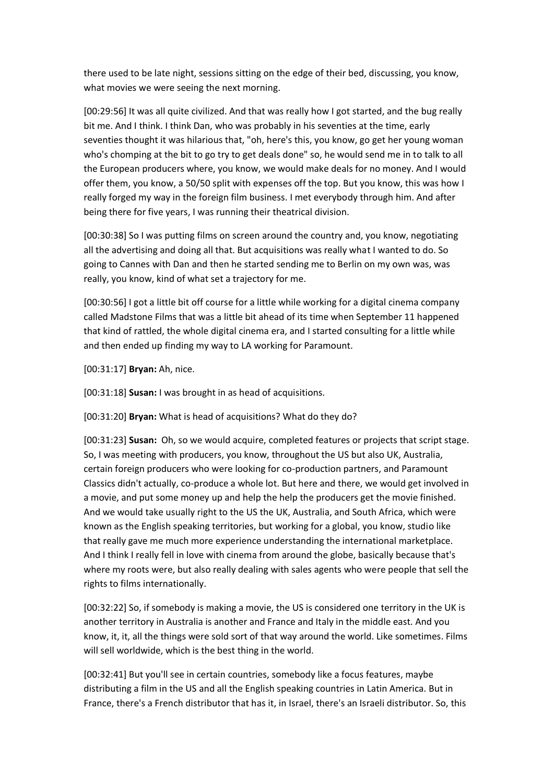there used to be late night, sessions sitting on the edge of their bed, discussing, you know, what movies we were seeing the next morning.

[00:29:56] It was all quite civilized. And that was really how I got started, and the bug really bit me. And I think. I think Dan, who was probably in his seventies at the time, early seventies thought it was hilarious that, "oh, here's this, you know, go get her young woman who's chomping at the bit to go try to get deals done" so, he would send me in to talk to all the European producers where, you know, we would make deals for no money. And I would offer them, you know, a 50/50 split with expenses off the top. But you know, this was how I really forged my way in the foreign film business. I met everybody through him. And after being there for five years, I was running their theatrical division.

[00:30:38] So I was putting films on screen around the country and, you know, negotiating all the advertising and doing all that. But acquisitions was really what I wanted to do. So going to Cannes with Dan and then he started sending me to Berlin on my own was, was really, you know, kind of what set a trajectory for me.

[00:30:56] I got a little bit off course for a little while working for a digital cinema company called Madstone Films that was a little bit ahead of its time when September 11 happened that kind of rattled, the whole digital cinema era, and I started consulting for a little while and then ended up finding my way to LA working for Paramount.

[00:31:17] **Bryan:** Ah, nice.

[00:31:18] **Susan:** I was brought in as head of acquisitions.

[00:31:20] **Bryan:** What is head of acquisitions? What do they do?

[00:31:23] **Susan:** Oh, so we would acquire, completed features or projects that script stage. So, I was meeting with producers, you know, throughout the US but also UK, Australia, certain foreign producers who were looking for co-production partners, and Paramount Classics didn't actually, co-produce a whole lot. But here and there, we would get involved in a movie, and put some money up and help the help the producers get the movie finished. And we would take usually right to the US the UK, Australia, and South Africa, which were known as the English speaking territories, but working for a global, you know, studio like that really gave me much more experience understanding the international marketplace. And I think I really fell in love with cinema from around the globe, basically because that's where my roots were, but also really dealing with sales agents who were people that sell the rights to films internationally.

[00:32:22] So, if somebody is making a movie, the US is considered one territory in the UK is another territory in Australia is another and France and Italy in the middle east. And you know, it, it, all the things were sold sort of that way around the world. Like sometimes. Films will sell worldwide, which is the best thing in the world.

[00:32:41] But you'll see in certain countries, somebody like a focus features, maybe distributing a film in the US and all the English speaking countries in Latin America. But in France, there's a French distributor that has it, in Israel, there's an Israeli distributor. So, this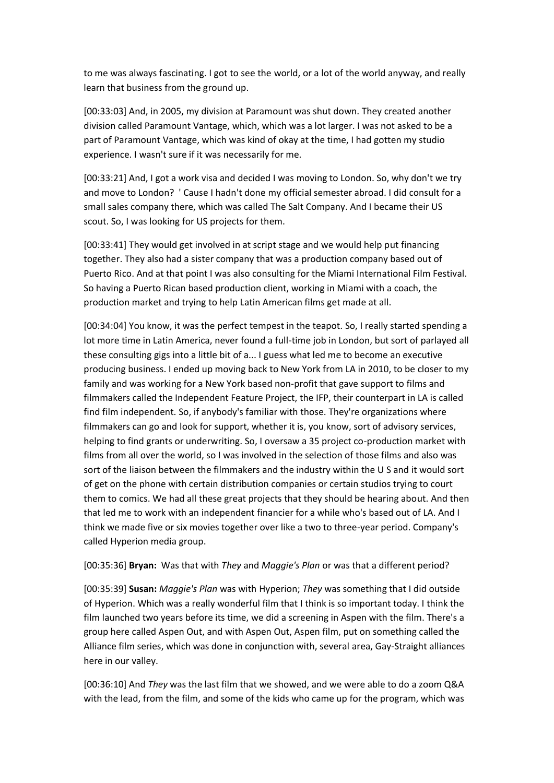to me was always fascinating. I got to see the world, or a lot of the world anyway, and really learn that business from the ground up.

[00:33:03] And, in 2005, my division at Paramount was shut down. They created another division called Paramount Vantage, which, which was a lot larger. I was not asked to be a part of Paramount Vantage, which was kind of okay at the time, I had gotten my studio experience. I wasn't sure if it was necessarily for me.

[00:33:21] And, I got a work visa and decided I was moving to London. So, why don't we try and move to London? ' Cause I hadn't done my official semester abroad. I did consult for a small sales company there, which was called The Salt Company. And I became their US scout. So, I was looking for US projects for them.

[00:33:41] They would get involved in at script stage and we would help put financing together. They also had a sister company that was a production company based out of Puerto Rico. And at that point I was also consulting for the Miami International Film Festival. So having a Puerto Rican based production client, working in Miami with a coach, the production market and trying to help Latin American films get made at all.

[00:34:04] You know, it was the perfect tempest in the teapot. So, I really started spending a lot more time in Latin America, never found a full-time job in London, but sort of parlayed all these consulting gigs into a little bit of a... I guess what led me to become an executive producing business. I ended up moving back to New York from LA in 2010, to be closer to my family and was working for a New York based non-profit that gave support to films and filmmakers called the Independent Feature Project, the IFP, their counterpart in LA is called find film independent. So, if anybody's familiar with those. They're organizations where filmmakers can go and look for support, whether it is, you know, sort of advisory services, helping to find grants or underwriting. So, I oversaw a 35 project co-production market with films from all over the world, so I was involved in the selection of those films and also was sort of the liaison between the filmmakers and the industry within the U S and it would sort of get on the phone with certain distribution companies or certain studios trying to court them to comics. We had all these great projects that they should be hearing about. And then that led me to work with an independent financier for a while who's based out of LA. And I think we made five or six movies together over like a two to three-year period. Company's called Hyperion media group.

### [00:35:36] **Bryan:** Was that with *They* and *Maggie's Plan* or was that a different period?

[00:35:39] **Susan:** *Maggie's Plan* was with Hyperion; *They* was something that I did outside of Hyperion. Which was a really wonderful film that I think is so important today. I think the film launched two years before its time, we did a screening in Aspen with the film. There's a group here called Aspen Out, and with Aspen Out, Aspen film, put on something called the Alliance film series, which was done in conjunction with, several area, Gay-Straight alliances here in our valley.

[00:36:10] And *They* was the last film that we showed, and we were able to do a zoom Q&A with the lead, from the film, and some of the kids who came up for the program, which was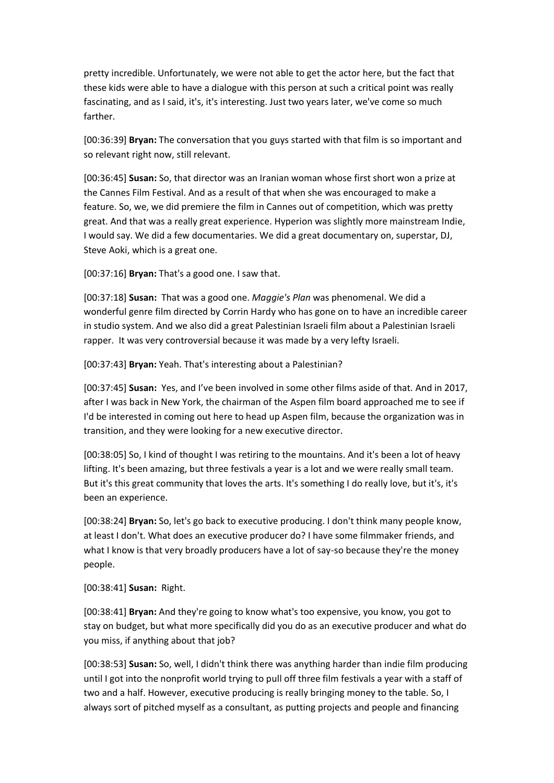pretty incredible. Unfortunately, we were not able to get the actor here, but the fact that these kids were able to have a dialogue with this person at such a critical point was really fascinating, and as I said, it's, it's interesting. Just two years later, we've come so much farther.

[00:36:39] **Bryan:** The conversation that you guys started with that film is so important and so relevant right now, still relevant.

[00:36:45] **Susan:** So, that director was an Iranian woman whose first short won a prize at the Cannes Film Festival. And as a result of that when she was encouraged to make a feature. So, we, we did premiere the film in Cannes out of competition, which was pretty great. And that was a really great experience. Hyperion was slightly more mainstream Indie, I would say. We did a few documentaries. We did a great documentary on, superstar, DJ, Steve Aoki, which is a great one.

[00:37:16] **Bryan:** That's a good one. I saw that.

[00:37:18] **Susan:** That was a good one. *Maggie's Plan* was phenomenal. We did a wonderful genre film directed by Corrin Hardy who has gone on to have an incredible career in studio system. And we also did a great Palestinian Israeli film about a Palestinian Israeli rapper. It was very controversial because it was made by a very lefty Israeli.

[00:37:43] **Bryan:** Yeah. That's interesting about a Palestinian?

[00:37:45] **Susan:** Yes, and I've been involved in some other films aside of that. And in 2017, after I was back in New York, the chairman of the Aspen film board approached me to see if I'd be interested in coming out here to head up Aspen film, because the organization was in transition, and they were looking for a new executive director.

[00:38:05] So, I kind of thought I was retiring to the mountains. And it's been a lot of heavy lifting. It's been amazing, but three festivals a year is a lot and we were really small team. But it's this great community that loves the arts. It's something I do really love, but it's, it's been an experience.

[00:38:24] **Bryan:** So, let's go back to executive producing. I don't think many people know, at least I don't. What does an executive producer do? I have some filmmaker friends, and what I know is that very broadly producers have a lot of say-so because they're the money people.

[00:38:41] **Susan:** Right.

[00:38:41] **Bryan:** And they're going to know what's too expensive, you know, you got to stay on budget, but what more specifically did you do as an executive producer and what do you miss, if anything about that job?

[00:38:53] **Susan:** So, well, I didn't think there was anything harder than indie film producing until I got into the nonprofit world trying to pull off three film festivals a year with a staff of two and a half. However, executive producing is really bringing money to the table. So, I always sort of pitched myself as a consultant, as putting projects and people and financing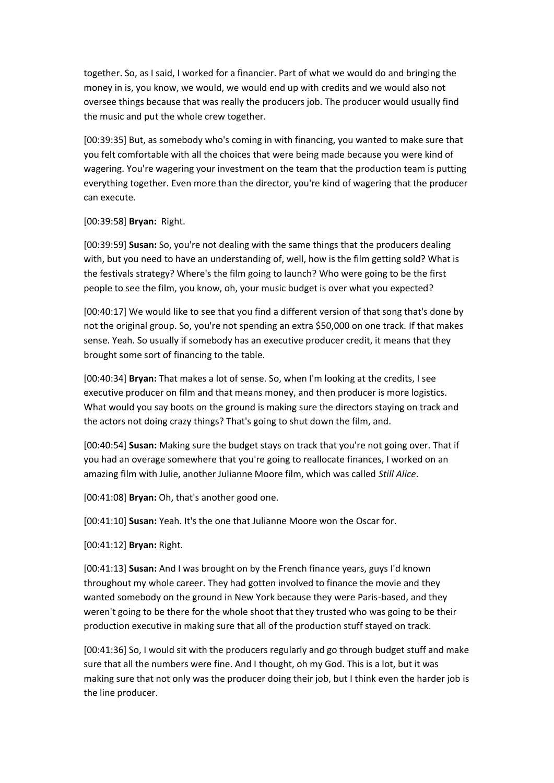together. So, as I said, I worked for a financier. Part of what we would do and bringing the money in is, you know, we would, we would end up with credits and we would also not oversee things because that was really the producers job. The producer would usually find the music and put the whole crew together.

[00:39:35] But, as somebody who's coming in with financing, you wanted to make sure that you felt comfortable with all the choices that were being made because you were kind of wagering. You're wagering your investment on the team that the production team is putting everything together. Even more than the director, you're kind of wagering that the producer can execute.

### [00:39:58] **Bryan:** Right.

[00:39:59] **Susan:** So, you're not dealing with the same things that the producers dealing with, but you need to have an understanding of, well, how is the film getting sold? What is the festivals strategy? Where's the film going to launch? Who were going to be the first people to see the film, you know, oh, your music budget is over what you expected?

[00:40:17] We would like to see that you find a different version of that song that's done by not the original group. So, you're not spending an extra \$50,000 on one track. If that makes sense. Yeah. So usually if somebody has an executive producer credit, it means that they brought some sort of financing to the table.

[00:40:34] **Bryan:** That makes a lot of sense. So, when I'm looking at the credits, I see executive producer on film and that means money, and then producer is more logistics. What would you say boots on the ground is making sure the directors staying on track and the actors not doing crazy things? That's going to shut down the film, and.

[00:40:54] **Susan:** Making sure the budget stays on track that you're not going over. That if you had an overage somewhere that you're going to reallocate finances, I worked on an amazing film with Julie, another Julianne Moore film, which was called *Still Alice*.

[00:41:08] **Bryan:** Oh, that's another good one.

[00:41:10] **Susan:** Yeah. It's the one that Julianne Moore won the Oscar for.

[00:41:12] **Bryan:** Right.

[00:41:13] **Susan:** And I was brought on by the French finance years, guys I'd known throughout my whole career. They had gotten involved to finance the movie and they wanted somebody on the ground in New York because they were Paris-based, and they weren't going to be there for the whole shoot that they trusted who was going to be their production executive in making sure that all of the production stuff stayed on track.

[00:41:36] So, I would sit with the producers regularly and go through budget stuff and make sure that all the numbers were fine. And I thought, oh my God. This is a lot, but it was making sure that not only was the producer doing their job, but I think even the harder job is the line producer.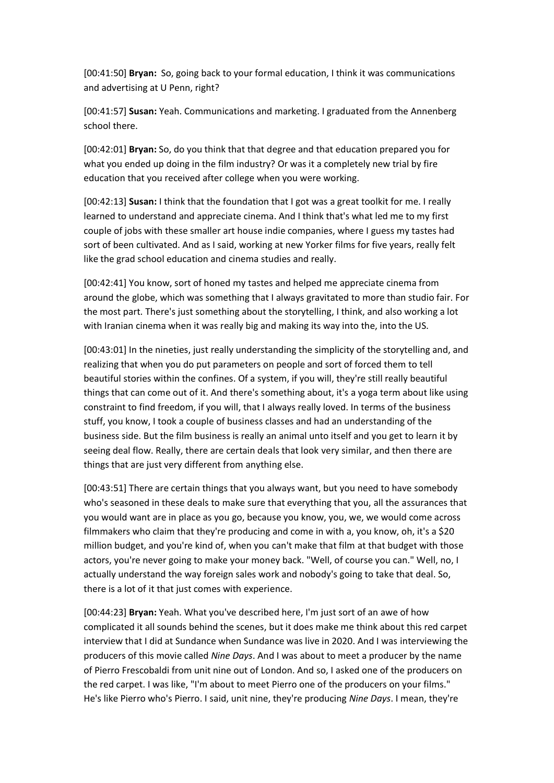[00:41:50] **Bryan:** So, going back to your formal education, I think it was communications and advertising at U Penn, right?

[00:41:57] **Susan:** Yeah. Communications and marketing. I graduated from the Annenberg school there.

[00:42:01] **Bryan:** So, do you think that that degree and that education prepared you for what you ended up doing in the film industry? Or was it a completely new trial by fire education that you received after college when you were working.

[00:42:13] **Susan:** I think that the foundation that I got was a great toolkit for me. I really learned to understand and appreciate cinema. And I think that's what led me to my first couple of jobs with these smaller art house indie companies, where I guess my tastes had sort of been cultivated. And as I said, working at new Yorker films for five years, really felt like the grad school education and cinema studies and really.

[00:42:41] You know, sort of honed my tastes and helped me appreciate cinema from around the globe, which was something that I always gravitated to more than studio fair. For the most part. There's just something about the storytelling, I think, and also working a lot with Iranian cinema when it was really big and making its way into the, into the US.

[00:43:01] In the nineties, just really understanding the simplicity of the storytelling and, and realizing that when you do put parameters on people and sort of forced them to tell beautiful stories within the confines. Of a system, if you will, they're still really beautiful things that can come out of it. And there's something about, it's a yoga term about like using constraint to find freedom, if you will, that I always really loved. In terms of the business stuff, you know, I took a couple of business classes and had an understanding of the business side. But the film business is really an animal unto itself and you get to learn it by seeing deal flow. Really, there are certain deals that look very similar, and then there are things that are just very different from anything else.

[00:43:51] There are certain things that you always want, but you need to have somebody who's seasoned in these deals to make sure that everything that you, all the assurances that you would want are in place as you go, because you know, you, we, we would come across filmmakers who claim that they're producing and come in with a, you know, oh, it's a \$20 million budget, and you're kind of, when you can't make that film at that budget with those actors, you're never going to make your money back. "Well, of course you can." Well, no, I actually understand the way foreign sales work and nobody's going to take that deal. So, there is a lot of it that just comes with experience.

[00:44:23] **Bryan:** Yeah. What you've described here, I'm just sort of an awe of how complicated it all sounds behind the scenes, but it does make me think about this red carpet interview that I did at Sundance when Sundance was live in 2020. And I was interviewing the producers of this movie called *Nine Days*. And I was about to meet a producer by the name of Pierro Frescobaldi from unit nine out of London. And so, I asked one of the producers on the red carpet. I was like, "I'm about to meet Pierro one of the producers on your films." He's like Pierro who's Pierro. I said, unit nine, they're producing *Nine Days*. I mean, they're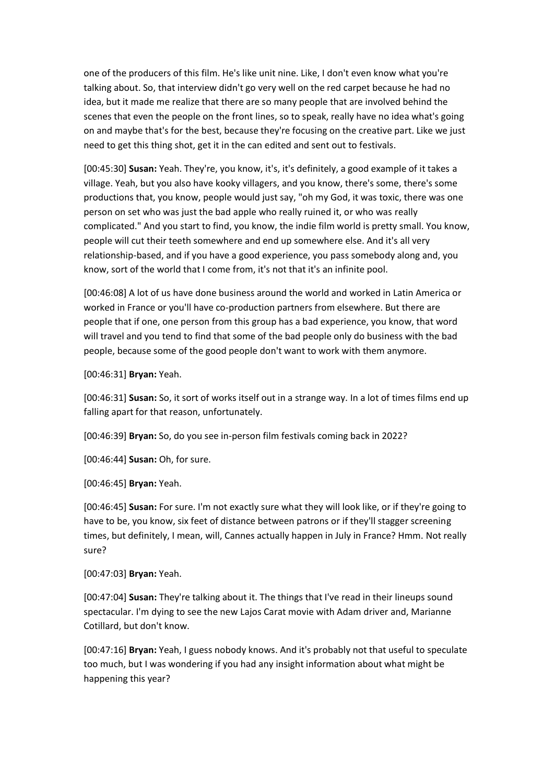one of the producers of this film. He's like unit nine. Like, I don't even know what you're talking about. So, that interview didn't go very well on the red carpet because he had no idea, but it made me realize that there are so many people that are involved behind the scenes that even the people on the front lines, so to speak, really have no idea what's going on and maybe that's for the best, because they're focusing on the creative part. Like we just need to get this thing shot, get it in the can edited and sent out to festivals.

[00:45:30] **Susan:** Yeah. They're, you know, it's, it's definitely, a good example of it takes a village. Yeah, but you also have kooky villagers, and you know, there's some, there's some productions that, you know, people would just say, "oh my God, it was toxic, there was one person on set who was just the bad apple who really ruined it, or who was really complicated." And you start to find, you know, the indie film world is pretty small. You know, people will cut their teeth somewhere and end up somewhere else. And it's all very relationship-based, and if you have a good experience, you pass somebody along and, you know, sort of the world that I come from, it's not that it's an infinite pool.

[00:46:08] A lot of us have done business around the world and worked in Latin America or worked in France or you'll have co-production partners from elsewhere. But there are people that if one, one person from this group has a bad experience, you know, that word will travel and you tend to find that some of the bad people only do business with the bad people, because some of the good people don't want to work with them anymore.

[00:46:31] **Bryan:** Yeah.

[00:46:31] **Susan:** So, it sort of works itself out in a strange way. In a lot of times films end up falling apart for that reason, unfortunately.

[00:46:39] **Bryan:** So, do you see in-person film festivals coming back in 2022?

[00:46:44] **Susan:** Oh, for sure.

[00:46:45] **Bryan:** Yeah.

[00:46:45] **Susan:** For sure. I'm not exactly sure what they will look like, or if they're going to have to be, you know, six feet of distance between patrons or if they'll stagger screening times, but definitely, I mean, will, Cannes actually happen in July in France? Hmm. Not really sure?

[00:47:03] **Bryan:** Yeah.

[00:47:04] **Susan:** They're talking about it. The things that I've read in their lineups sound spectacular. I'm dying to see the new Lajos Carat movie with Adam driver and, Marianne Cotillard, but don't know.

[00:47:16] **Bryan:** Yeah, I guess nobody knows. And it's probably not that useful to speculate too much, but I was wondering if you had any insight information about what might be happening this year?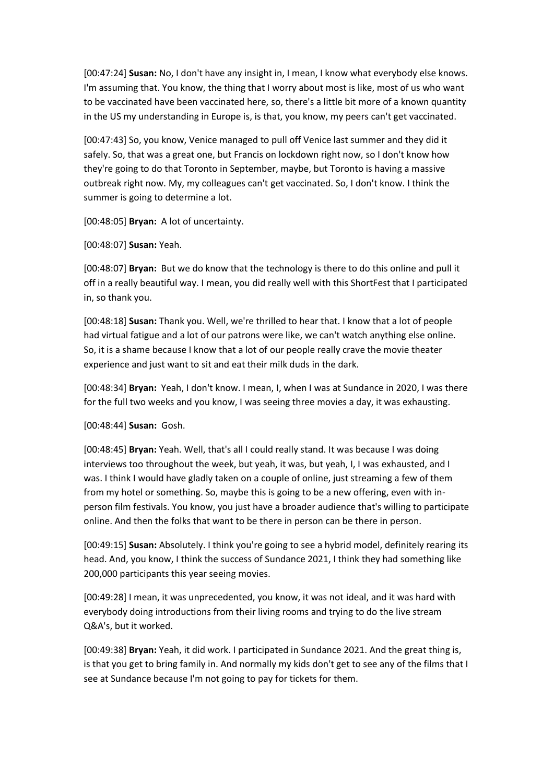[00:47:24] **Susan:** No, I don't have any insight in, I mean, I know what everybody else knows. I'm assuming that. You know, the thing that I worry about most is like, most of us who want to be vaccinated have been vaccinated here, so, there's a little bit more of a known quantity in the US my understanding in Europe is, is that, you know, my peers can't get vaccinated.

[00:47:43] So, you know, Venice managed to pull off Venice last summer and they did it safely. So, that was a great one, but Francis on lockdown right now, so I don't know how they're going to do that Toronto in September, maybe, but Toronto is having a massive outbreak right now. My, my colleagues can't get vaccinated. So, I don't know. I think the summer is going to determine a lot.

[00:48:05] **Bryan:** A lot of uncertainty.

[00:48:07] **Susan:** Yeah.

[00:48:07] **Bryan:** But we do know that the technology is there to do this online and pull it off in a really beautiful way. I mean, you did really well with this ShortFest that I participated in, so thank you.

[00:48:18] **Susan:** Thank you. Well, we're thrilled to hear that. I know that a lot of people had virtual fatigue and a lot of our patrons were like, we can't watch anything else online. So, it is a shame because I know that a lot of our people really crave the movie theater experience and just want to sit and eat their milk duds in the dark.

[00:48:34] **Bryan:** Yeah, I don't know. I mean, I, when I was at Sundance in 2020, I was there for the full two weeks and you know, I was seeing three movies a day, it was exhausting.

[00:48:44] **Susan:** Gosh.

[00:48:45] **Bryan:** Yeah. Well, that's all I could really stand. It was because I was doing interviews too throughout the week, but yeah, it was, but yeah, I, I was exhausted, and I was. I think I would have gladly taken on a couple of online, just streaming a few of them from my hotel or something. So, maybe this is going to be a new offering, even with inperson film festivals. You know, you just have a broader audience that's willing to participate online. And then the folks that want to be there in person can be there in person.

[00:49:15] **Susan:** Absolutely. I think you're going to see a hybrid model, definitely rearing its head. And, you know, I think the success of Sundance 2021, I think they had something like 200,000 participants this year seeing movies.

[00:49:28] I mean, it was unprecedented, you know, it was not ideal, and it was hard with everybody doing introductions from their living rooms and trying to do the live stream Q&A's, but it worked.

[00:49:38] **Bryan:** Yeah, it did work. I participated in Sundance 2021. And the great thing is, is that you get to bring family in. And normally my kids don't get to see any of the films that I see at Sundance because I'm not going to pay for tickets for them.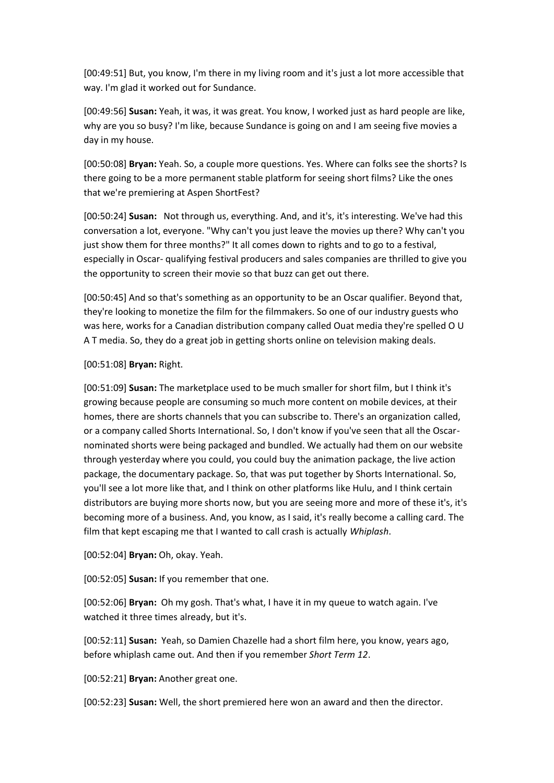[00:49:51] But, you know, I'm there in my living room and it's just a lot more accessible that way. I'm glad it worked out for Sundance.

[00:49:56] **Susan:** Yeah, it was, it was great. You know, I worked just as hard people are like, why are you so busy? I'm like, because Sundance is going on and I am seeing five movies a day in my house.

[00:50:08] **Bryan:** Yeah. So, a couple more questions. Yes. Where can folks see the shorts? Is there going to be a more permanent stable platform for seeing short films? Like the ones that we're premiering at Aspen ShortFest?

[00:50:24] **Susan:** Not through us, everything. And, and it's, it's interesting. We've had this conversation a lot, everyone. "Why can't you just leave the movies up there? Why can't you just show them for three months?" It all comes down to rights and to go to a festival, especially in Oscar- qualifying festival producers and sales companies are thrilled to give you the opportunity to screen their movie so that buzz can get out there.

[00:50:45] And so that's something as an opportunity to be an Oscar qualifier. Beyond that, they're looking to monetize the film for the filmmakers. So one of our industry guests who was here, works for a Canadian distribution company called Ouat media they're spelled O U A T media. So, they do a great job in getting shorts online on television making deals.

#### [00:51:08] **Bryan:** Right.

[00:51:09] **Susan:** The marketplace used to be much smaller for short film, but I think it's growing because people are consuming so much more content on mobile devices, at their homes, there are shorts channels that you can subscribe to. There's an organization called, or a company called Shorts International. So, I don't know if you've seen that all the Oscarnominated shorts were being packaged and bundled. We actually had them on our website through yesterday where you could, you could buy the animation package, the live action package, the documentary package. So, that was put together by Shorts International. So, you'll see a lot more like that, and I think on other platforms like Hulu, and I think certain distributors are buying more shorts now, but you are seeing more and more of these it's, it's becoming more of a business. And, you know, as I said, it's really become a calling card. The film that kept escaping me that I wanted to call crash is actually *Whiplash*.

[00:52:04] **Bryan:** Oh, okay. Yeah.

[00:52:05] **Susan:** If you remember that one.

[00:52:06] **Bryan:** Oh my gosh. That's what, I have it in my queue to watch again. I've watched it three times already, but it's.

[00:52:11] **Susan:** Yeah, so Damien Chazelle had a short film here, you know, years ago, before whiplash came out. And then if you remember *Short Term 12*.

[00:52:21] **Bryan:** Another great one.

[00:52:23] **Susan:** Well, the short premiered here won an award and then the director.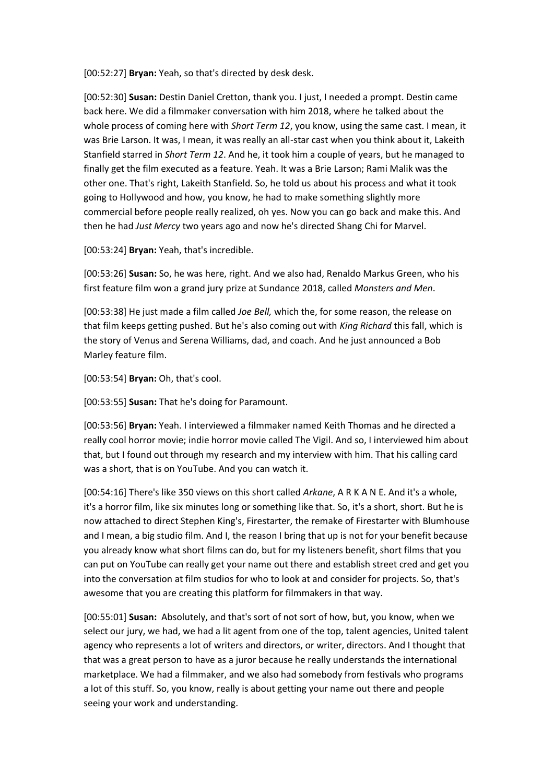[00:52:27] **Bryan:** Yeah, so that's directed by desk desk.

[00:52:30] **Susan:** Destin Daniel Cretton, thank you. I just, I needed a prompt. Destin came back here. We did a filmmaker conversation with him 2018, where he talked about the whole process of coming here with *Short Term 12*, you know, using the same cast. I mean, it was Brie Larson. It was, I mean, it was really an all-star cast when you think about it, Lakeith Stanfield starred in *Short Term 12*. And he, it took him a couple of years, but he managed to finally get the film executed as a feature. Yeah. It was a Brie Larson; Rami Malik was the other one. That's right, Lakeith Stanfield. So, he told us about his process and what it took going to Hollywood and how, you know, he had to make something slightly more commercial before people really realized, oh yes. Now you can go back and make this. And then he had *Just Mercy* two years ago and now he's directed Shang Chi for Marvel.

[00:53:24] **Bryan:** Yeah, that's incredible.

[00:53:26] **Susan:** So, he was here, right. And we also had, Renaldo Markus Green, who his first feature film won a grand jury prize at Sundance 2018, called *Monsters and Men*.

[00:53:38] He just made a film called *Joe Bell,* which the, for some reason, the release on that film keeps getting pushed. But he's also coming out with *King Richard* this fall, which is the story of Venus and Serena Williams, dad, and coach. And he just announced a Bob Marley feature film.

[00:53:54] **Bryan:** Oh, that's cool.

[00:53:55] **Susan:** That he's doing for Paramount.

[00:53:56] **Bryan:** Yeah. I interviewed a filmmaker named Keith Thomas and he directed a really cool horror movie; indie horror movie called The Vigil. And so, I interviewed him about that, but I found out through my research and my interview with him. That his calling card was a short, that is on YouTube. And you can watch it.

[00:54:16] There's like 350 views on this short called *Arkane*, A R K A N E. And it's a whole, it's a horror film, like six minutes long or something like that. So, it's a short, short. But he is now attached to direct Stephen King's, Firestarter, the remake of Firestarter with Blumhouse and I mean, a big studio film. And I, the reason I bring that up is not for your benefit because you already know what short films can do, but for my listeners benefit, short films that you can put on YouTube can really get your name out there and establish street cred and get you into the conversation at film studios for who to look at and consider for projects. So, that's awesome that you are creating this platform for filmmakers in that way.

[00:55:01] **Susan:** Absolutely, and that's sort of not sort of how, but, you know, when we select our jury, we had, we had a lit agent from one of the top, talent agencies, United talent agency who represents a lot of writers and directors, or writer, directors. And I thought that that was a great person to have as a juror because he really understands the international marketplace. We had a filmmaker, and we also had somebody from festivals who programs a lot of this stuff. So, you know, really is about getting your name out there and people seeing your work and understanding.